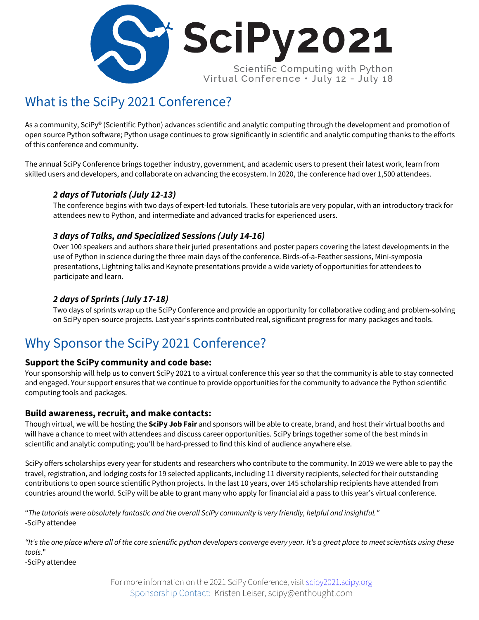

# What is the SciPy 2021 Conference?

As a community, SciPy® (Scientific Python) advances scientific and analytic computing through the development and promotion of open source Python software; Python usage continues to grow significantly in scientific and analytic computing thanks to the efforts of this conference and community.

The annual SciPy Conference brings together industry, government, and academic users to present their latest work, learn from skilled users and developers, and collaborate on advancing the ecosystem. In 2020, the conference had over 1,500 attendees.

## *2 days of Tutorials (July 12-13)*

The conference begins with two days of expert-led tutorials. These tutorials are very popular, with an introductory track for attendees new to Python, and intermediate and advanced tracks for experienced users.

## *3 days of Talks, and Specialized Sessions (July 14-16)*

Over 100 speakers and authors share their juried presentations and poster papers covering the latest developments in the use of Python in science during the three main days of the conference. Birds-of-a-Feather sessions, Mini-symposia presentations, Lightning talks and Keynote presentations provide a wide variety of opportunities for attendees to participate and learn.

## *2 days of Sprints (July 17-18)*

Two days of sprints wrap up the SciPy Conference and provide an opportunity for collaborative coding and problem-solving on SciPy open-source projects. Last year's sprints contributed real, significant progress for many packages and tools.

## Why Sponsor the SciPy 2021 Conference?

## **Support the SciPy community and code base:**

Your sponsorship will help us to convert SciPy 2021 to a virtual conference this year so that the community is able to stay connected and engaged. Your support ensures that we continue to provide opportunities for the community to advance the Python scientific computing tools and packages.

### **Build awareness, recruit, and make contacts:**

Though virtual, we will be hosting the **SciPy Job Fair** and sponsors will be able to create, brand, and host their virtual booths and will have a chance to meet with attendees and discuss career opportunities. SciPy brings together some of the best minds in scientific and analytic computing; you'll be hard-pressed to find this kind of audience anywhere else.

SciPy offers scholarships every year for students and researchers who contribute to the community. In 2019 we were able to pay the travel, registration, and lodging costs for 19 selected applicants, including 11 diversity recipients, selected for their outstanding contributions to open source scientific Python projects. In the last 10 years, over 145 scholarship recipients have attended from countries around the world. SciPy will be able to grant many who apply for financial aid a pass to this year's virtual conference.

"*The tutorials were absolutely fantastic and the overall SciPy community is very friendly, helpful and insightful." -*SciPy attendee

*"It's the one place where all of the core scientific python developers converge every year. It's a great place to meet scientists using these tools.*"

*-*SciPy attendee

For more information on the 2021 SciPy Conference, visit scipy2021.scipy.org Sponsorship Contact: Kristen Leiser, scipy@enthought.com